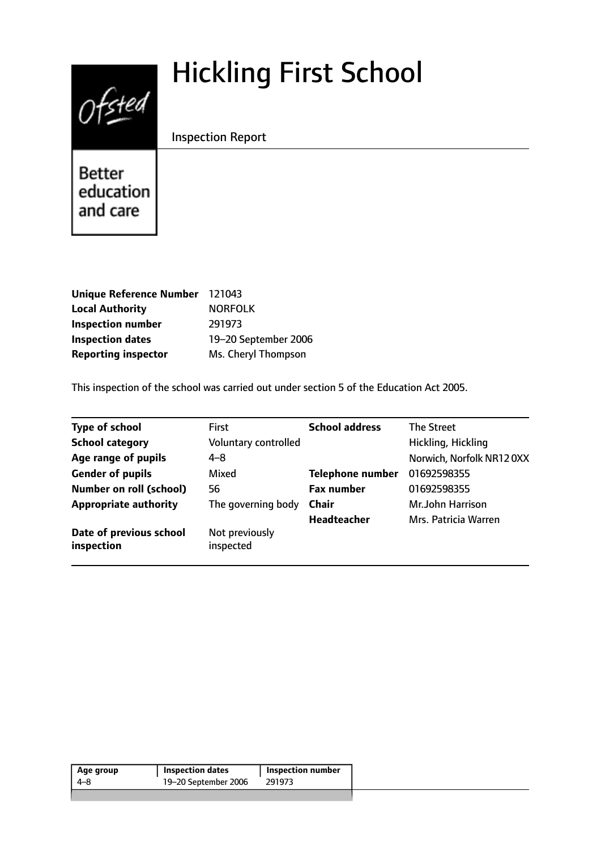# Hickling First School



Inspection Report

**Better** education and care

| <b>Unique Reference Number</b> | 121043               |
|--------------------------------|----------------------|
| <b>Local Authority</b>         | <b>NORFOLK</b>       |
| <b>Inspection number</b>       | 291973               |
| <b>Inspection dates</b>        | 19-20 September 2006 |
| <b>Reporting inspector</b>     | Ms. Cheryl Thompson  |

This inspection of the school was carried out under section 5 of the Education Act 2005.

| <b>Type of school</b>                 | <b>First</b>                | <b>School address</b>   | The Street               |
|---------------------------------------|-----------------------------|-------------------------|--------------------------|
| <b>School category</b>                | Voluntary controlled        |                         | Hickling, Hickling       |
| Age range of pupils                   | $4 - 8$                     |                         | Norwich, Norfolk NR120XX |
| <b>Gender of pupils</b>               | <b>Mixed</b>                | <b>Telephone number</b> | 01692598355              |
| <b>Number on roll (school)</b>        | 56                          | <b>Fax number</b>       | 01692598355              |
| <b>Appropriate authority</b>          | The governing body          | <b>Chair</b>            | Mr.John Harrison         |
|                                       |                             | <b>Headteacher</b>      | Mrs. Patricia Warren     |
| Date of previous school<br>inspection | Not previously<br>inspected |                         |                          |

| Age group | <b>Inspection dates</b> | <b>Inspection number</b> |
|-----------|-------------------------|--------------------------|
| 4–8       | 19-20 September 2006    | 291973                   |
|           |                         |                          |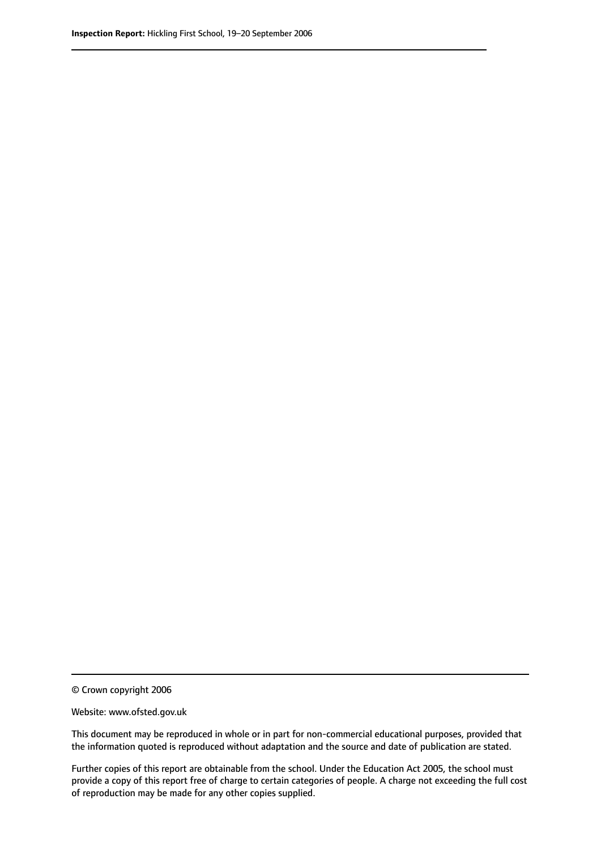© Crown copyright 2006

Website: www.ofsted.gov.uk

This document may be reproduced in whole or in part for non-commercial educational purposes, provided that the information quoted is reproduced without adaptation and the source and date of publication are stated.

Further copies of this report are obtainable from the school. Under the Education Act 2005, the school must provide a copy of this report free of charge to certain categories of people. A charge not exceeding the full cost of reproduction may be made for any other copies supplied.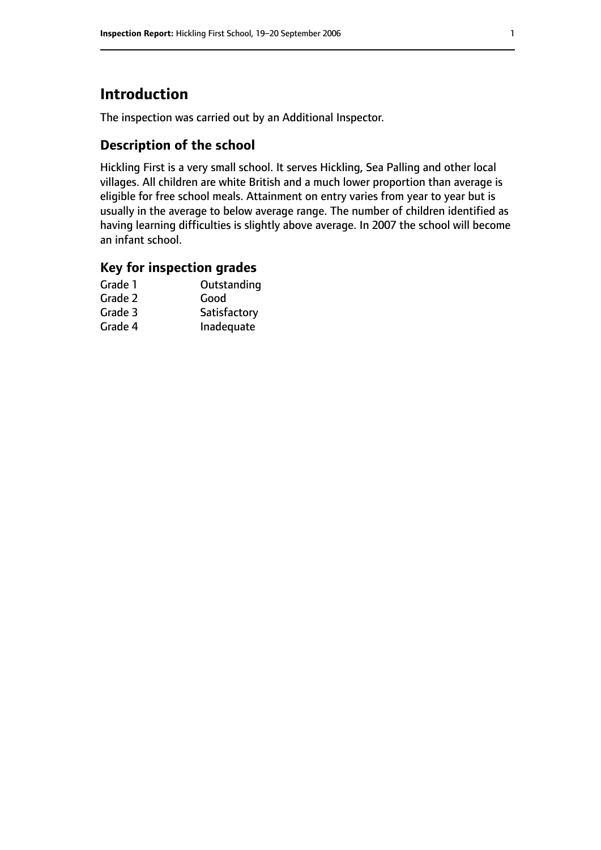# **Introduction**

The inspection was carried out by an Additional Inspector.

## **Description of the school**

Hickling First is a very small school. It serves Hickling, Sea Palling and other local villages. All children are white British and a much lower proportion than average is eligible for free school meals. Attainment on entry varies from year to year but is usually in the average to below average range. The number of children identified as having learning difficulties is slightly above average. In 2007 the school will become an infant school.

### **Key for inspection grades**

| Grade 1 | Outstanding  |
|---------|--------------|
| Grade 2 | Good         |
| Grade 3 | Satisfactory |
| Grade 4 | Inadequate   |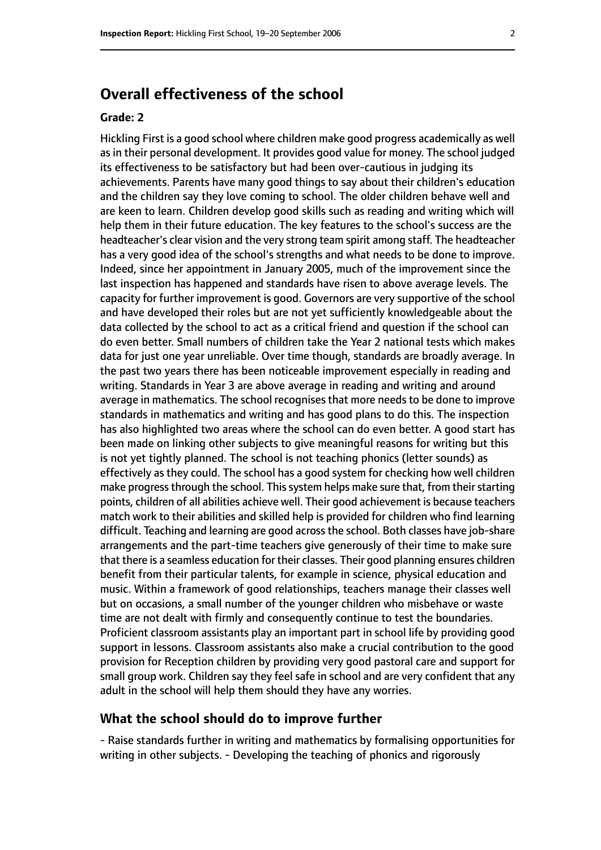# **Overall effectiveness of the school**

#### **Grade: 2**

Hickling First is a good school where children make good progress academically as well as in their personal development. It provides good value for money. The school judged its effectiveness to be satisfactory but had been over-cautious in judging its achievements. Parents have many good things to say about their children's education and the children say they love coming to school. The older children behave well and are keen to learn. Children develop good skills such as reading and writing which will help them in their future education. The key features to the school's success are the headteacher's clear vision and the very strong team spirit among staff. The headteacher has a very good idea of the school's strengths and what needs to be done to improve. Indeed, since her appointment in January 2005, much of the improvement since the last inspection has happened and standards have risen to above average levels. The capacity for further improvement is good. Governors are very supportive of the school and have developed their roles but are not yet sufficiently knowledgeable about the data collected by the school to act as a critical friend and question if the school can do even better. Small numbers of children take the Year 2 national tests which makes data for just one year unreliable. Over time though, standards are broadly average. In the past two years there has been noticeable improvement especially in reading and writing. Standards in Year 3 are above average in reading and writing and around average in mathematics. The school recognises that more needs to be done to improve standards in mathematics and writing and has good plans to do this. The inspection has also highlighted two areas where the school can do even better. A good start has been made on linking other subjects to give meaningful reasons for writing but this is not yet tightly planned. The school is not teaching phonics (letter sounds) as effectively as they could. The school has a good system for checking how well children make progress through the school. This system helps make sure that, from their starting points, children of all abilities achieve well. Their good achievement is because teachers match work to their abilities and skilled help is provided for children who find learning difficult. Teaching and learning are good acrossthe school. Both classes have job-share arrangements and the part-time teachers give generously of their time to make sure that there is a seamless education for their classes. Their good planning ensures children benefit from their particular talents, for example in science, physical education and music. Within a framework of good relationships, teachers manage their classes well but on occasions, a small number of the younger children who misbehave or waste time are not dealt with firmly and consequently continue to test the boundaries. Proficient classroom assistants play an important part in school life by providing good support in lessons. Classroom assistants also make a crucial contribution to the good provision for Reception children by providing very good pastoral care and support for small group work. Children say they feel safe in school and are very confident that any adult in the school will help them should they have any worries.

#### **What the school should do to improve further**

- Raise standards further in writing and mathematics by formalising opportunities for writing in other subjects. - Developing the teaching of phonics and rigorously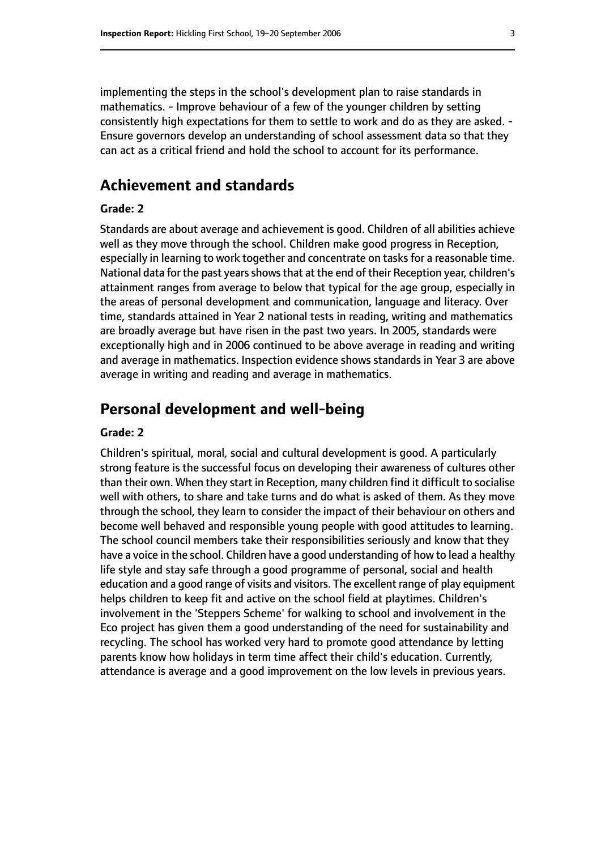implementing the steps in the school's development plan to raise standards in mathematics. - Improve behaviour of a few of the younger children by setting consistently high expectations for them to settle to work and do as they are asked. - Ensure governors develop an understanding of school assessment data so that they can act as a critical friend and hold the school to account for its performance.

## **Achievement and standards**

#### **Grade: 2**

Standards are about average and achievement is good. Children of all abilities achieve well as they move through the school. Children make good progress in Reception, especially in learning to work together and concentrate on tasks for a reasonable time. National data for the past years shows that at the end of their Reception year, children's attainment ranges from average to below that typical for the age group, especially in the areas of personal development and communication, language and literacy. Over time, standards attained in Year 2 national tests in reading, writing and mathematics are broadly average but have risen in the past two years. In 2005, standards were exceptionally high and in 2006 continued to be above average in reading and writing and average in mathematics. Inspection evidence shows standards in Year 3 are above average in writing and reading and average in mathematics.

## **Personal development and well-being**

#### **Grade: 2**

Children's spiritual, moral, social and cultural development is good. A particularly strong feature is the successful focus on developing their awareness of cultures other than their own. When they start in Reception, many children find it difficult to socialise well with others, to share and take turns and do what is asked of them. As they move through the school, they learn to consider the impact of their behaviour on others and become well behaved and responsible young people with good attitudes to learning. The school council members take their responsibilities seriously and know that they have a voice in the school. Children have a good understanding of how to lead a healthy life style and stay safe through a good programme of personal, social and health education and a good range of visits and visitors. The excellent range of play equipment helps children to keep fit and active on the school field at playtimes. Children's involvement in the 'Steppers Scheme' for walking to school and involvement in the Eco project has given them a good understanding of the need for sustainability and recycling. The school has worked very hard to promote good attendance by letting parents know how holidays in term time affect their child's education. Currently, attendance is average and a good improvement on the low levels in previous years.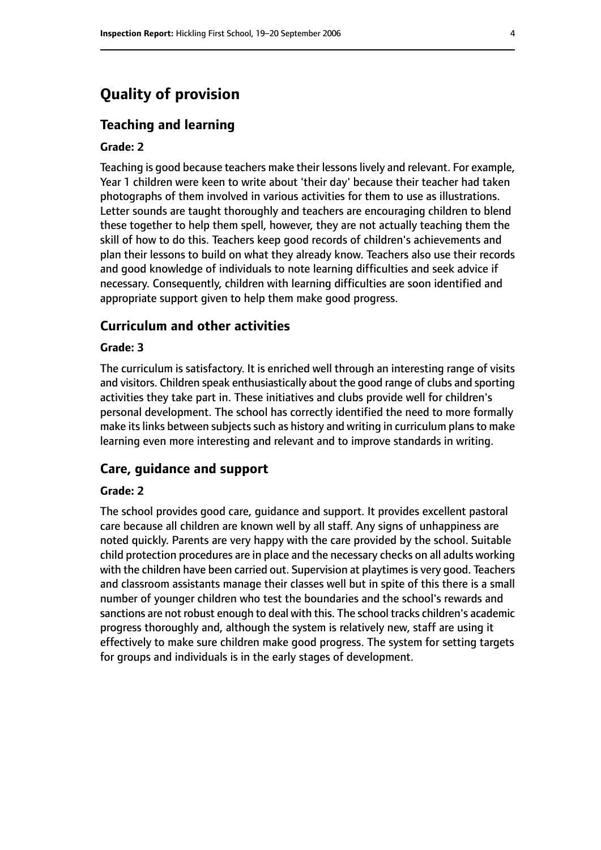# **Quality of provision**

#### **Teaching and learning**

#### **Grade: 2**

Teaching is good because teachers make their lessons lively and relevant. For example, Year 1 children were keen to write about 'their day' because their teacher had taken photographs of them involved in various activities for them to use as illustrations. Letter sounds are taught thoroughly and teachers are encouraging children to blend these together to help them spell, however, they are not actually teaching them the skill of how to do this. Teachers keep good records of children's achievements and plan their lessons to build on what they already know. Teachers also use their records and good knowledge of individuals to note learning difficulties and seek advice if necessary. Consequently, children with learning difficulties are soon identified and appropriate support given to help them make good progress.

#### **Curriculum and other activities**

#### **Grade: 3**

The curriculum is satisfactory. It is enriched well through an interesting range of visits and visitors. Children speak enthusiastically about the good range of clubs and sporting activities they take part in. These initiatives and clubs provide well for children's personal development. The school has correctly identified the need to more formally make its links between subjects such as history and writing in curriculum plans to make learning even more interesting and relevant and to improve standards in writing.

#### **Care, guidance and support**

#### **Grade: 2**

The school provides good care, guidance and support. It provides excellent pastoral care because all children are known well by all staff. Any signs of unhappiness are noted quickly. Parents are very happy with the care provided by the school. Suitable child protection procedures are in place and the necessary checks on all adults working with the children have been carried out. Supervision at playtimes is very good. Teachers and classroom assistants manage their classes well but in spite of this there is a small number of younger children who test the boundaries and the school's rewards and sanctions are not robust enough to deal with this. The school tracks children's academic progress thoroughly and, although the system is relatively new, staff are using it effectively to make sure children make good progress. The system for setting targets for groups and individuals is in the early stages of development.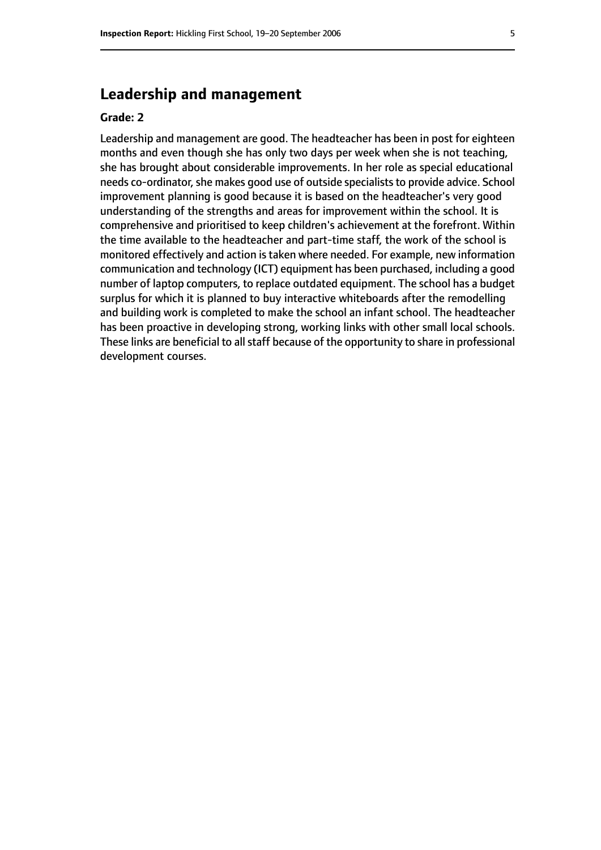# **Leadership and management**

#### **Grade: 2**

Leadership and management are good. The headteacher has been in post for eighteen months and even though she has only two days per week when she is not teaching, she has brought about considerable improvements. In her role as special educational needs co-ordinator, she makes good use of outside specialists to provide advice. School improvement planning is good because it is based on the headteacher's very good understanding of the strengths and areas for improvement within the school. It is comprehensive and prioritised to keep children's achievement at the forefront. Within the time available to the headteacher and part-time staff, the work of the school is monitored effectively and action istaken where needed. For example, new information communication and technology (ICT) equipment has been purchased, including a good number of laptop computers, to replace outdated equipment. The school has a budget surplus for which it is planned to buy interactive whiteboards after the remodelling and building work is completed to make the school an infant school. The headteacher has been proactive in developing strong, working links with other small local schools. These links are beneficial to all staff because of the opportunity to share in professional development courses.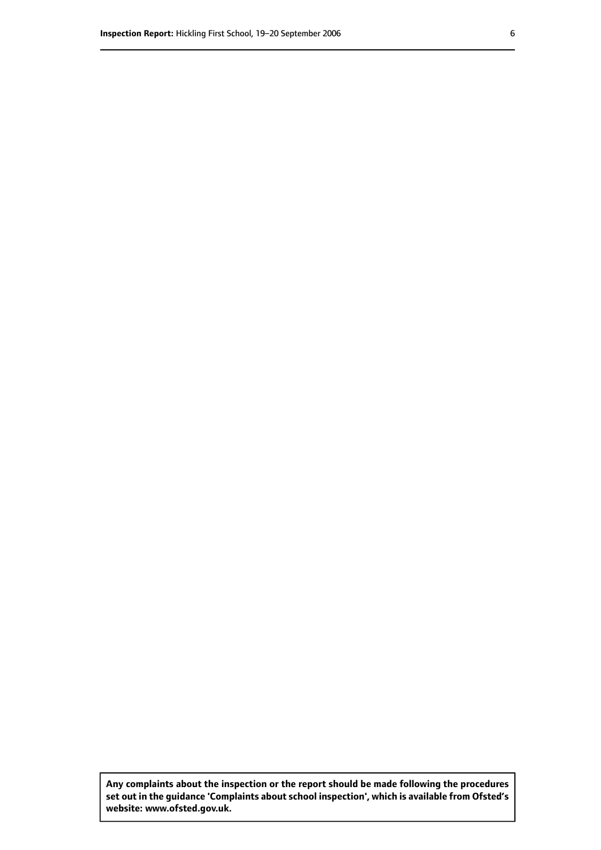**Any complaints about the inspection or the report should be made following the procedures set out inthe guidance 'Complaints about school inspection', whichis available from Ofsted's website: www.ofsted.gov.uk.**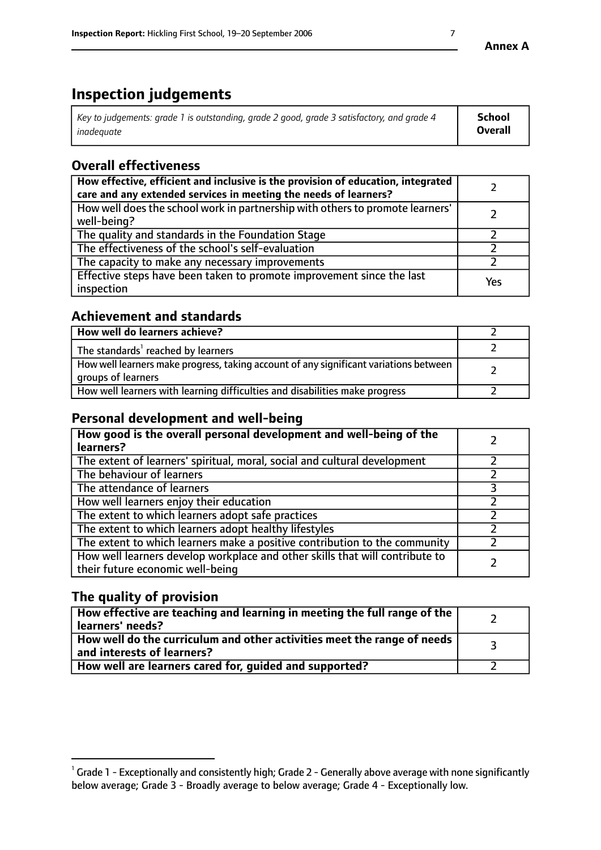# **Inspection judgements**

| $\vert$ Key to judgements: grade 1 is outstanding, grade 2 good, grade 3 satisfactory, and grade 4 | School         |
|----------------------------------------------------------------------------------------------------|----------------|
| inadeauate                                                                                         | <b>Overall</b> |

# **Overall effectiveness**

| How effective, efficient and inclusive is the provision of education, integrated<br>care and any extended services in meeting the needs of learners? |     |
|------------------------------------------------------------------------------------------------------------------------------------------------------|-----|
| How well does the school work in partnership with others to promote learners'<br>well-being?                                                         |     |
| The quality and standards in the Foundation Stage                                                                                                    |     |
| The effectiveness of the school's self-evaluation                                                                                                    |     |
| The capacity to make any necessary improvements                                                                                                      |     |
| Effective steps have been taken to promote improvement since the last<br>inspection                                                                  | Yes |

## **Achievement and standards**

| How well do learners achieve?                                                                               |  |
|-------------------------------------------------------------------------------------------------------------|--|
| The standards <sup>1</sup> reached by learners                                                              |  |
| How well learners make progress, taking account of any significant variations between<br>groups of learners |  |
| How well learners with learning difficulties and disabilities make progress                                 |  |

# **Personal development and well-being**

| How good is the overall personal development and well-being of the<br>learners?                                  |  |
|------------------------------------------------------------------------------------------------------------------|--|
| The extent of learners' spiritual, moral, social and cultural development                                        |  |
| The behaviour of learners                                                                                        |  |
| The attendance of learners                                                                                       |  |
| How well learners enjoy their education                                                                          |  |
| The extent to which learners adopt safe practices                                                                |  |
| The extent to which learners adopt healthy lifestyles                                                            |  |
| The extent to which learners make a positive contribution to the community                                       |  |
| How well learners develop workplace and other skills that will contribute to<br>their future economic well-being |  |

# **The quality of provision**

| $\Box$ How effective are teaching and learning in meeting the full range of the $\Box$<br>  learners' needs?        |  |
|---------------------------------------------------------------------------------------------------------------------|--|
| $\mid$ How well do the curriculum and other activities meet the range of needs<br>$\mid$ and interests of learners? |  |
| How well are learners cared for, guided and supported?                                                              |  |

 $^1$  Grade 1 - Exceptionally and consistently high; Grade 2 - Generally above average with none significantly below average; Grade 3 - Broadly average to below average; Grade 4 - Exceptionally low.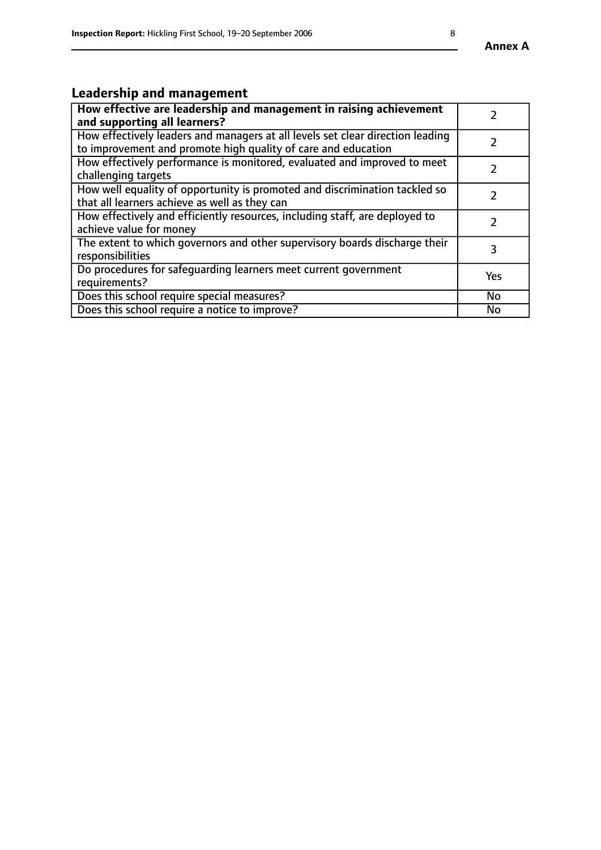# **Leadership and management**

| How effective are leadership and management in raising achievement<br>and supporting all learners?                                              |               |
|-------------------------------------------------------------------------------------------------------------------------------------------------|---------------|
| How effectively leaders and managers at all levels set clear direction leading<br>to improvement and promote high quality of care and education |               |
| How effectively performance is monitored, evaluated and improved to meet<br>challenging targets                                                 | $\mathcal{L}$ |
| How well equality of opportunity is promoted and discrimination tackled so<br>that all learners achieve as well as they can                     |               |
| How effectively and efficiently resources, including staff, are deployed to<br>achieve value for money                                          |               |
| The extent to which governors and other supervisory boards discharge their<br>responsibilities                                                  | 3             |
| Do procedures for safequarding learners meet current government<br>requirements?                                                                | Yes           |
| Does this school require special measures?                                                                                                      | No            |
| Does this school require a notice to improve?                                                                                                   | <b>No</b>     |